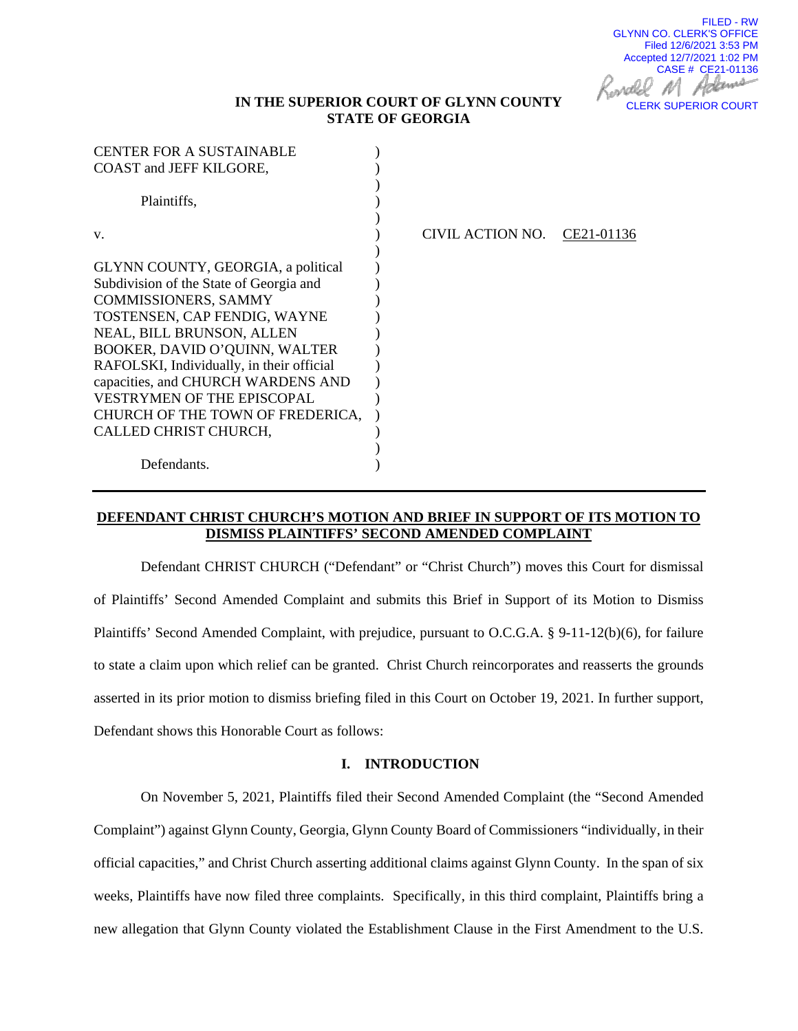FILED - RW GLYNN CO. CLERK'S OFFICE Filed 12/6/2021 3:53 PM Accepted 12/7/2021 1:02 PM CASE # CE21-01136 Johanne CLERK SUPERIOR COURT

## **IN THE SUPERIOR COURT OF GLYNN COUNTY STATE OF GEORGIA**

| <b>CENTER FOR A SUSTAINABLE</b>           |                                |
|-------------------------------------------|--------------------------------|
| <b>COAST and JEFF KILGORE,</b>            |                                |
|                                           |                                |
| Plaintiffs,                               |                                |
|                                           |                                |
| V.                                        | CIVIL ACTION NO.<br>CE21-01136 |
|                                           |                                |
| GLYNN COUNTY, GEORGIA, a political        |                                |
| Subdivision of the State of Georgia and   |                                |
| <b>COMMISSIONERS, SAMMY</b>               |                                |
| TOSTENSEN, CAP FENDIG, WAYNE              |                                |
| NEAL, BILL BRUNSON, ALLEN                 |                                |
| BOOKER, DAVID O'QUINN, WALTER             |                                |
| RAFOLSKI, Individually, in their official |                                |
| capacities, and CHURCH WARDENS AND        |                                |
| <b>VESTRYMEN OF THE EPISCOPAL</b>         |                                |
| CHURCH OF THE TOWN OF FREDERICA,          |                                |
| CALLED CHRIST CHURCH,                     |                                |
|                                           |                                |
| Defendants.                               |                                |

### **DEFENDANT CHRIST CHURCH'S MOTION AND BRIEF IN SUPPORT OF ITS MOTION TO DISMISS PLAINTIFFS' SECOND AMENDED COMPLAINT**

Defendant CHRIST CHURCH ("Defendant" or "Christ Church") moves this Court for dismissal of Plaintiffs' Second Amended Complaint and submits this Brief in Support of its Motion to Dismiss Plaintiffs' Second Amended Complaint, with prejudice, pursuant to O.C.G.A. § 9-11-12(b)(6), for failure to state a claim upon which relief can be granted. Christ Church reincorporates and reasserts the grounds asserted in its prior motion to dismiss briefing filed in this Court on October 19, 2021. In further support, Defendant shows this Honorable Court as follows:

#### **I. INTRODUCTION**

On November 5, 2021, Plaintiffs filed their Second Amended Complaint (the "Second Amended Complaint") against Glynn County, Georgia, Glynn County Board of Commissioners "individually, in their official capacities," and Christ Church asserting additional claims against Glynn County. In the span of six weeks, Plaintiffs have now filed three complaints. Specifically, in this third complaint, Plaintiffs bring a new allegation that Glynn County violated the Establishment Clause in the First Amendment to the U.S.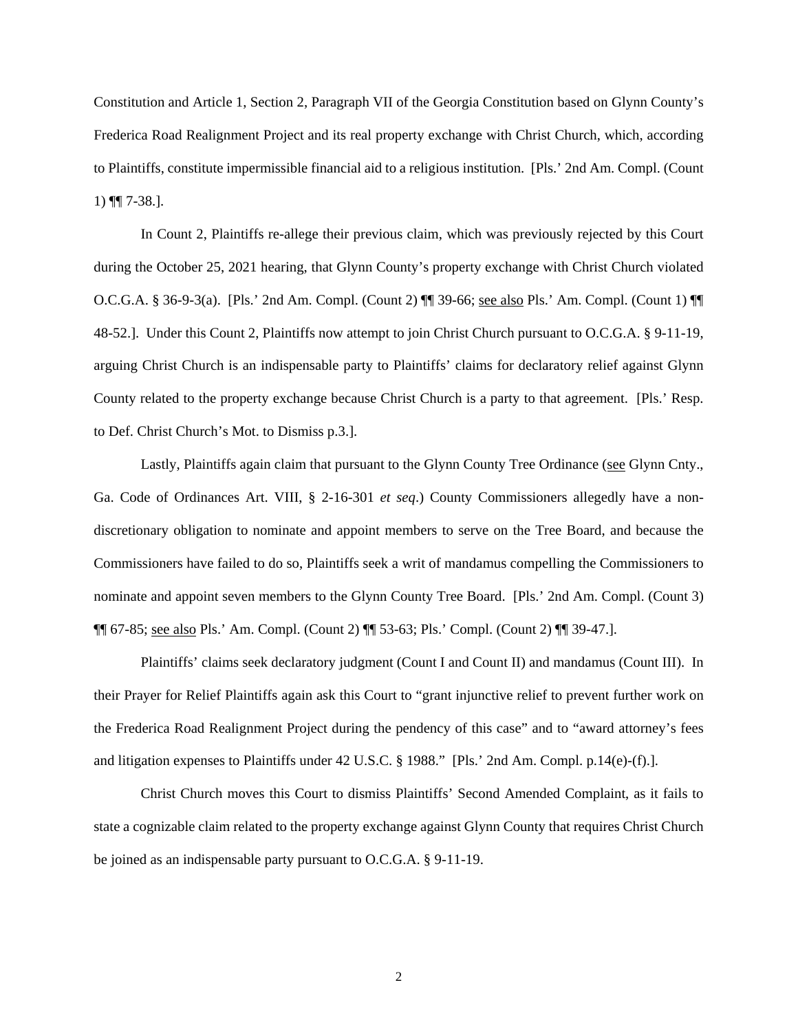Constitution and Article 1, Section 2, Paragraph VII of the Georgia Constitution based on Glynn County's Frederica Road Realignment Project and its real property exchange with Christ Church, which, according to Plaintiffs, constitute impermissible financial aid to a religious institution. [Pls.' 2nd Am. Compl. (Count 1) ¶¶ 7-38.].

In Count 2, Plaintiffs re-allege their previous claim, which was previously rejected by this Court during the October 25, 2021 hearing, that Glynn County's property exchange with Christ Church violated O.C.G.A. § 36-9-3(a). [Pls.' 2nd Am. Compl. (Count 2) ¶¶ 39-66; see also Pls.' Am. Compl. (Count 1) ¶¶ 48-52.]. Under this Count 2, Plaintiffs now attempt to join Christ Church pursuant to O.C.G.A. § 9-11-19, arguing Christ Church is an indispensable party to Plaintiffs' claims for declaratory relief against Glynn County related to the property exchange because Christ Church is a party to that agreement. [Pls.' Resp. to Def. Christ Church's Mot. to Dismiss p.3.].

Lastly, Plaintiffs again claim that pursuant to the Glynn County Tree Ordinance (see Glynn Cnty., Ga. Code of Ordinances Art. VIII, § 2-16-301 *et seq*.) County Commissioners allegedly have a nondiscretionary obligation to nominate and appoint members to serve on the Tree Board, and because the Commissioners have failed to do so, Plaintiffs seek a writ of mandamus compelling the Commissioners to nominate and appoint seven members to the Glynn County Tree Board. [Pls.' 2nd Am. Compl. (Count 3) ¶¶ 67-85; see also Pls.' Am. Compl. (Count 2) ¶¶ 53-63; Pls.' Compl. (Count 2) ¶¶ 39-47.].

Plaintiffs' claims seek declaratory judgment (Count I and Count II) and mandamus (Count III). In their Prayer for Relief Plaintiffs again ask this Court to "grant injunctive relief to prevent further work on the Frederica Road Realignment Project during the pendency of this case" and to "award attorney's fees and litigation expenses to Plaintiffs under 42 U.S.C. § 1988." [Pls.' 2nd Am. Compl. p.14(e)-(f).].

Christ Church moves this Court to dismiss Plaintiffs' Second Amended Complaint, as it fails to state a cognizable claim related to the property exchange against Glynn County that requires Christ Church be joined as an indispensable party pursuant to O.C.G.A. § 9-11-19.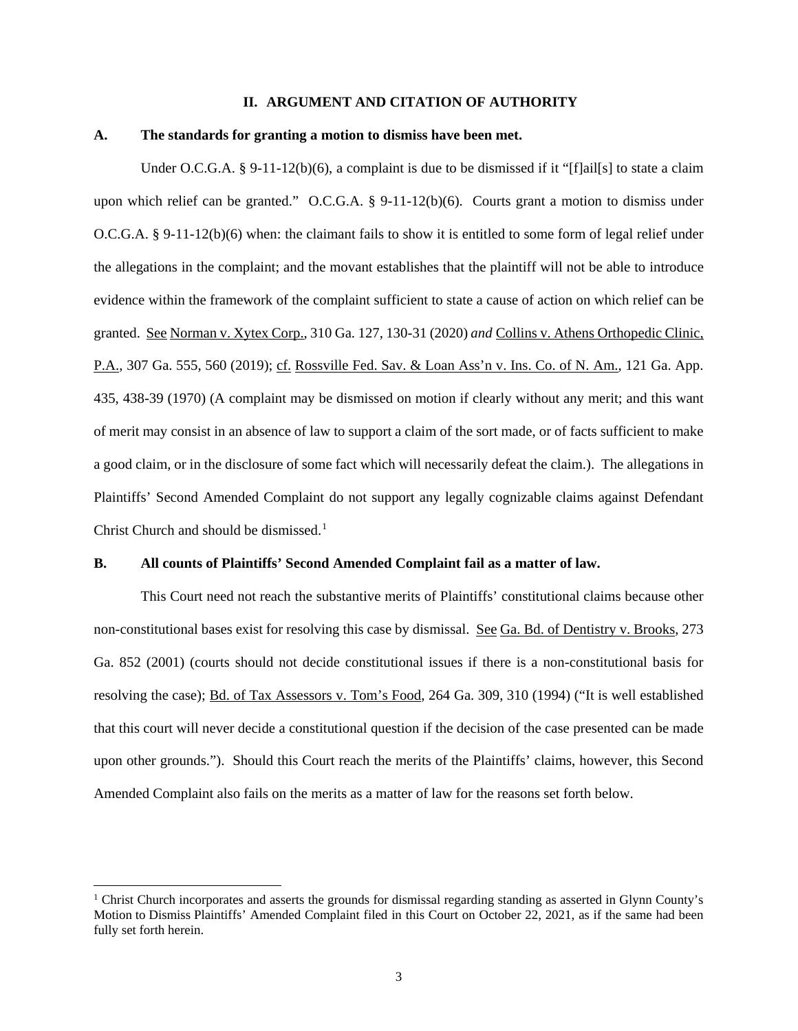#### **II. ARGUMENT AND CITATION OF AUTHORITY**

#### **A. The standards for granting a motion to dismiss have been met.**

Under O.C.G.A. § 9-11-12(b)(6), a complaint is due to be dismissed if it "[f]ail[s] to state a claim upon which relief can be granted." O.C.G.A. § 9-11-12(b)(6). Courts grant a motion to dismiss under O.C.G.A. § 9-11-12(b)(6) when: the claimant fails to show it is entitled to some form of legal relief under the allegations in the complaint; and the movant establishes that the plaintiff will not be able to introduce evidence within the framework of the complaint sufficient to state a cause of action on which relief can be granted. See Norman v. Xytex Corp., 310 Ga. 127, 130-31 (2020) *and* Collins v. Athens Orthopedic Clinic, P.A., 307 Ga. 555, 560 (2019); cf. Rossville Fed. Sav. & Loan Ass'n v. Ins. Co. of N. Am., 121 Ga. App. 435, 438-39 (1970) (A complaint may be dismissed on motion if clearly without any merit; and this want of merit may consist in an absence of law to support a claim of the sort made, or of facts sufficient to make a good claim, or in the disclosure of some fact which will necessarily defeat the claim.). The allegations in Plaintiffs' Second Amended Complaint do not support any legally cognizable claims against Defendant Christ Church and should be dismissed.<sup>[1](#page-2-0)</sup>

#### **B. All counts of Plaintiffs' Second Amended Complaint fail as a matter of law.**

This Court need not reach the substantive merits of Plaintiffs' constitutional claims because other non-constitutional bases exist for resolving this case by dismissal. See Ga. Bd. of Dentistry v. Brooks, 273 Ga. 852 (2001) (courts should not decide constitutional issues if there is a non-constitutional basis for resolving the case); Bd. of Tax Assessors v. Tom's Food, 264 Ga. 309, 310 (1994) ("It is well established that this court will never decide a constitutional question if the decision of the case presented can be made upon other grounds."). Should this Court reach the merits of the Plaintiffs' claims, however, this Second Amended Complaint also fails on the merits as a matter of law for the reasons set forth below.

<span id="page-2-0"></span><sup>&</sup>lt;sup>1</sup> Christ Church incorporates and asserts the grounds for dismissal regarding standing as asserted in Glynn County's Motion to Dismiss Plaintiffs' Amended Complaint filed in this Court on October 22, 2021, as if the same had been fully set forth herein.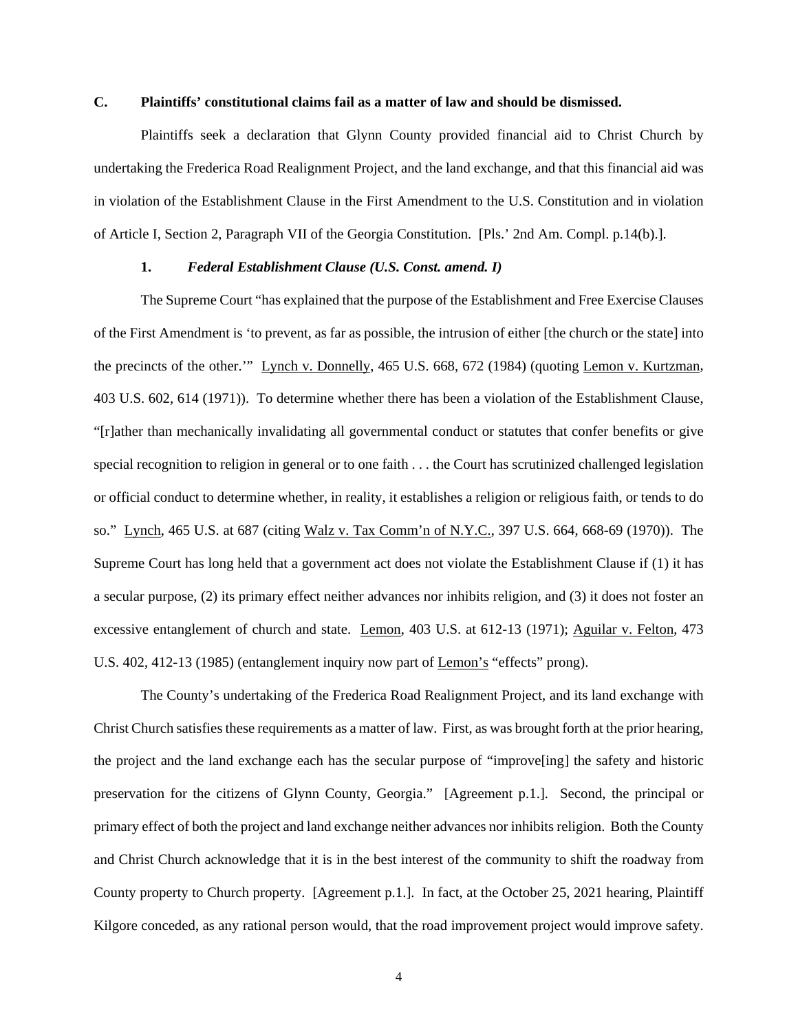#### **C. Plaintiffs' constitutional claims fail as a matter of law and should be dismissed.**

Plaintiffs seek a declaration that Glynn County provided financial aid to Christ Church by undertaking the Frederica Road Realignment Project, and the land exchange, and that this financial aid was in violation of the Establishment Clause in the First Amendment to the U.S. Constitution and in violation of Article I, Section 2, Paragraph VII of the Georgia Constitution. [Pls.' 2nd Am. Compl. p.14(b).].

### **1.** *Federal Establishment Clause (U.S. Const. amend. I)*

The Supreme Court "has explained that the purpose of the Establishment and Free Exercise Clauses of the First Amendment is 'to prevent, as far as possible, the intrusion of either [the church or the state] into the precincts of the other.'" Lynch v. Donnelly, 465 U.S. 668, 672 (1984) (quoting Lemon v. Kurtzman, 403 U.S. 602, 614 (1971)). To determine whether there has been a violation of the Establishment Clause, "[r]ather than mechanically invalidating all governmental conduct or statutes that confer benefits or give special recognition to religion in general or to one faith . . . the Court has scrutinized challenged legislation or official conduct to determine whether, in reality, it establishes a religion or religious faith, or tends to do so." Lynch, 465 U.S. at 687 (citing Walz v. Tax Comm'n of N.Y.C., 397 U.S. 664, 668-69 (1970)). The Supreme Court has long held that a government act does not violate the Establishment Clause if (1) it has a secular purpose, (2) its primary effect neither advances nor inhibits religion, and (3) it does not foster an excessive entanglement of church and state. Lemon, 403 U.S. at 612-13 (1971); Aguilar v. Felton, 473 U.S. 402, 412-13 (1985) (entanglement inquiry now part of Lemon's "effects" prong).

The County's undertaking of the Frederica Road Realignment Project, and its land exchange with Christ Church satisfies these requirements as a matter of law. First, as was brought forth at the prior hearing, the project and the land exchange each has the secular purpose of "improve[ing] the safety and historic preservation for the citizens of Glynn County, Georgia." [Agreement p.1.]. Second, the principal or primary effect of both the project and land exchange neither advances nor inhibits religion. Both the County and Christ Church acknowledge that it is in the best interest of the community to shift the roadway from County property to Church property. [Agreement p.1.]. In fact, at the October 25, 2021 hearing, Plaintiff Kilgore conceded, as any rational person would, that the road improvement project would improve safety.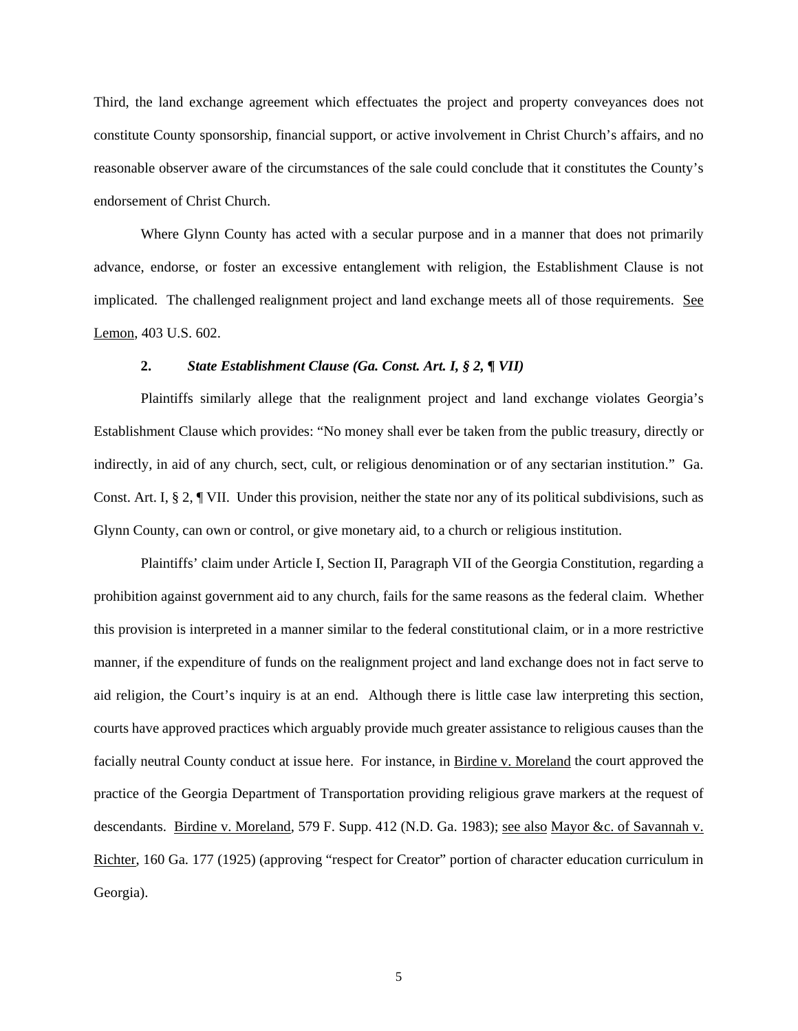Third, the land exchange agreement which effectuates the project and property conveyances does not constitute County sponsorship, financial support, or active involvement in Christ Church's affairs, and no reasonable observer aware of the circumstances of the sale could conclude that it constitutes the County's endorsement of Christ Church.

Where Glynn County has acted with a secular purpose and in a manner that does not primarily advance, endorse, or foster an excessive entanglement with religion, the Establishment Clause is not implicated. The challenged realignment project and land exchange meets all of those requirements. See Lemon, 403 U.S. 602.

#### **2.** *State Establishment Clause (Ga. Const. Art. I, § 2, ¶ VII)*

Plaintiffs similarly allege that the realignment project and land exchange violates Georgia's Establishment Clause which provides: "No money shall ever be taken from the public treasury, directly or indirectly, in aid of any church, sect, cult, or religious denomination or of any sectarian institution." Ga. Const. Art. I, § 2, ¶ VII. Under this provision, neither the state nor any of its political subdivisions, such as Glynn County, can own or control, or give monetary aid, to a church or religious institution.

Plaintiffs' claim under Article I, Section II, Paragraph VII of the Georgia Constitution, regarding a prohibition against government aid to any church, fails for the same reasons as the federal claim. Whether this provision is interpreted in a manner similar to the federal constitutional claim, or in a more restrictive manner, if the expenditure of funds on the realignment project and land exchange does not in fact serve to aid religion, the Court's inquiry is at an end. Although there is little case law interpreting this section, courts have approved practices which arguably provide much greater assistance to religious causes than the facially neutral County conduct at issue here. For instance, in Birdine v. Moreland the court approved the practice of the Georgia Department of Transportation providing religious grave markers at the request of descendants. Birdine v. Moreland, 579 F. Supp. 412 (N.D. Ga. 1983); see also Mayor &c. of Savannah v. Richter, 160 Ga. 177 (1925) (approving "respect for Creator" portion of character education curriculum in Georgia).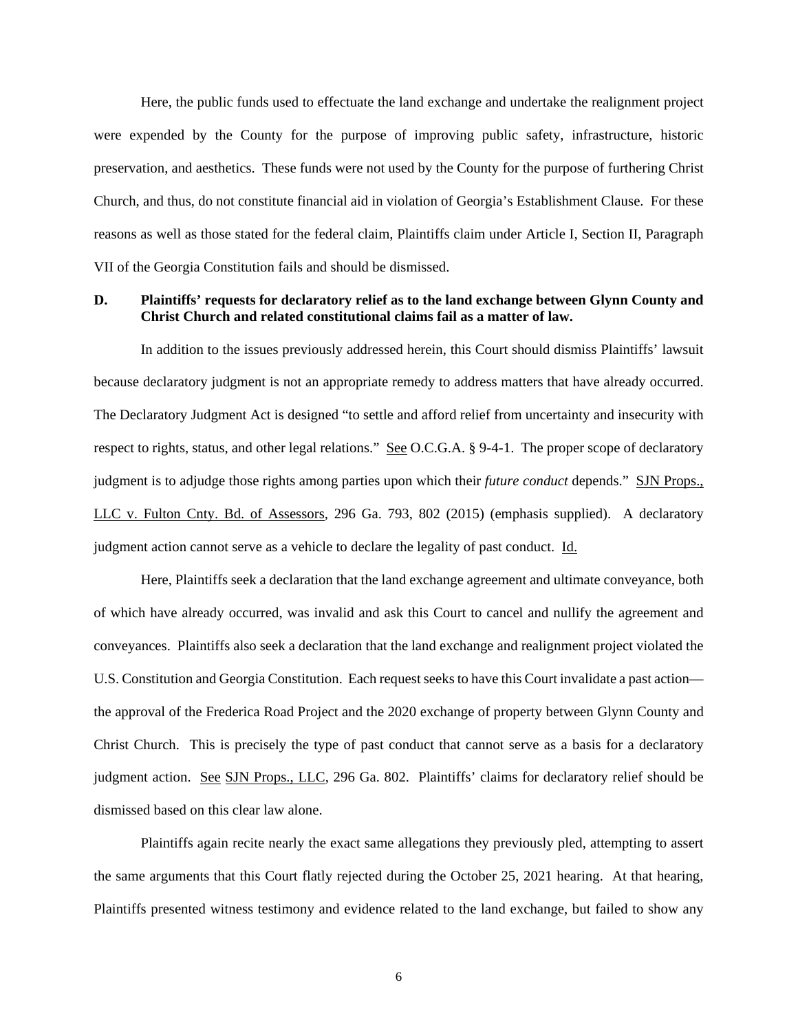Here, the public funds used to effectuate the land exchange and undertake the realignment project were expended by the County for the purpose of improving public safety, infrastructure, historic preservation, and aesthetics. These funds were not used by the County for the purpose of furthering Christ Church, and thus, do not constitute financial aid in violation of Georgia's Establishment Clause. For these reasons as well as those stated for the federal claim, Plaintiffs claim under Article I, Section II, Paragraph VII of the Georgia Constitution fails and should be dismissed.

### **D. Plaintiffs' requests for declaratory relief as to the land exchange between Glynn County and Christ Church and related constitutional claims fail as a matter of law.**

In addition to the issues previously addressed herein, this Court should dismiss Plaintiffs' lawsuit because declaratory judgment is not an appropriate remedy to address matters that have already occurred. The Declaratory Judgment Act is designed "to settle and afford relief from uncertainty and insecurity with respect to rights, status, and other legal relations." See O.C.G.A. § 9-4-1. The proper scope of declaratory judgment is to adjudge those rights among parties upon which their *future conduct* depends." SJN Props., LLC v. Fulton Cnty. Bd. of Assessors, 296 Ga. 793, 802 (2015) (emphasis supplied). A declaratory judgment action cannot serve as a vehicle to declare the legality of past conduct. Id.

Here, Plaintiffs seek a declaration that the land exchange agreement and ultimate conveyance, both of which have already occurred, was invalid and ask this Court to cancel and nullify the agreement and conveyances. Plaintiffs also seek a declaration that the land exchange and realignment project violated the U.S. Constitution and Georgia Constitution. Each request seeks to have this Court invalidate a past action the approval of the Frederica Road Project and the 2020 exchange of property between Glynn County and Christ Church. This is precisely the type of past conduct that cannot serve as a basis for a declaratory judgment action. See SJN Props., LLC, 296 Ga. 802. Plaintiffs' claims for declaratory relief should be dismissed based on this clear law alone.

Plaintiffs again recite nearly the exact same allegations they previously pled, attempting to assert the same arguments that this Court flatly rejected during the October 25, 2021 hearing. At that hearing, Plaintiffs presented witness testimony and evidence related to the land exchange, but failed to show any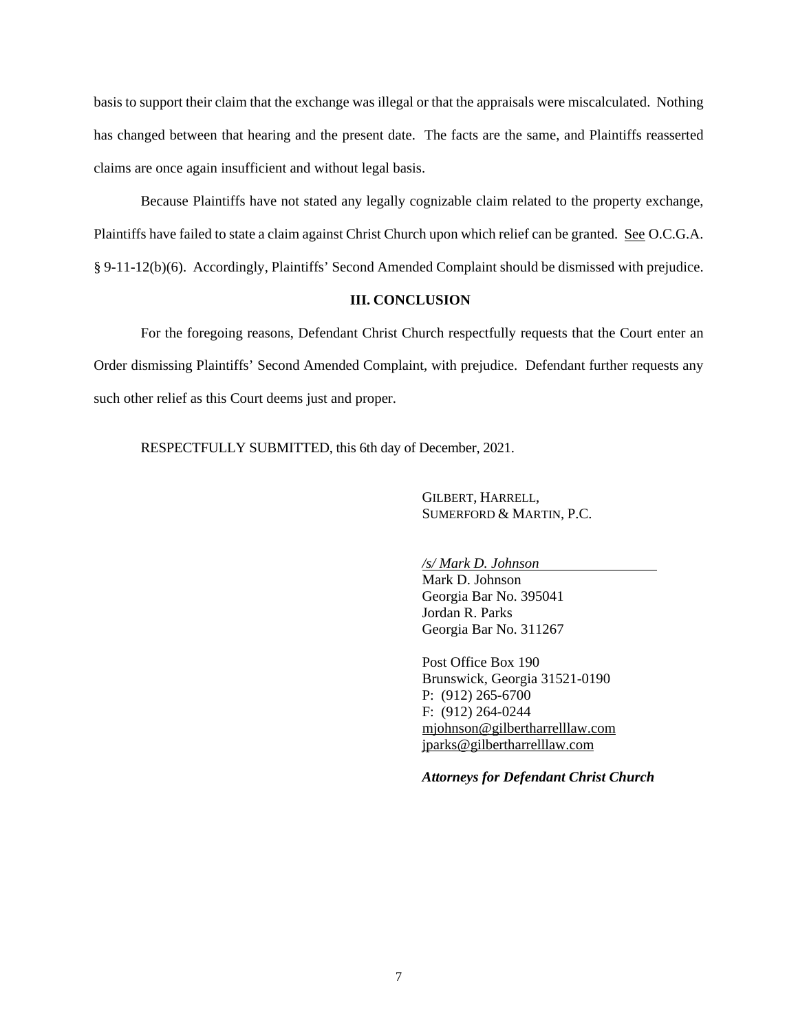basis to support their claim that the exchange was illegal or that the appraisals were miscalculated. Nothing has changed between that hearing and the present date. The facts are the same, and Plaintiffs reasserted claims are once again insufficient and without legal basis.

Because Plaintiffs have not stated any legally cognizable claim related to the property exchange, Plaintiffs have failed to state a claim against Christ Church upon which relief can be granted. See O.C.G.A. § 9-11-12(b)(6). Accordingly, Plaintiffs' Second Amended Complaint should be dismissed with prejudice.

### **III. CONCLUSION**

For the foregoing reasons, Defendant Christ Church respectfully requests that the Court enter an Order dismissing Plaintiffs' Second Amended Complaint, with prejudice. Defendant further requests any such other relief as this Court deems just and proper.

RESPECTFULLY SUBMITTED, this 6th day of December, 2021.

GILBERT, HARRELL, SUMERFORD & MARTIN, P.C.

*/s/ Mark D. Johnson*

Mark D. Johnson Georgia Bar No. 395041 Jordan R. Parks Georgia Bar No. 311267

Post Office Box 190 Brunswick, Georgia 31521-0190 P: (912) 265-6700 F: (912) 264-0244 [mjohnson@gilbertharrelllaw.com](mailto:mjohnson@gilbertharrelllaw.com) [jparks@gilbertharrelllaw.com](mailto:jparks@gilbertharrelllaw.com)

*Attorneys for Defendant Christ Church*